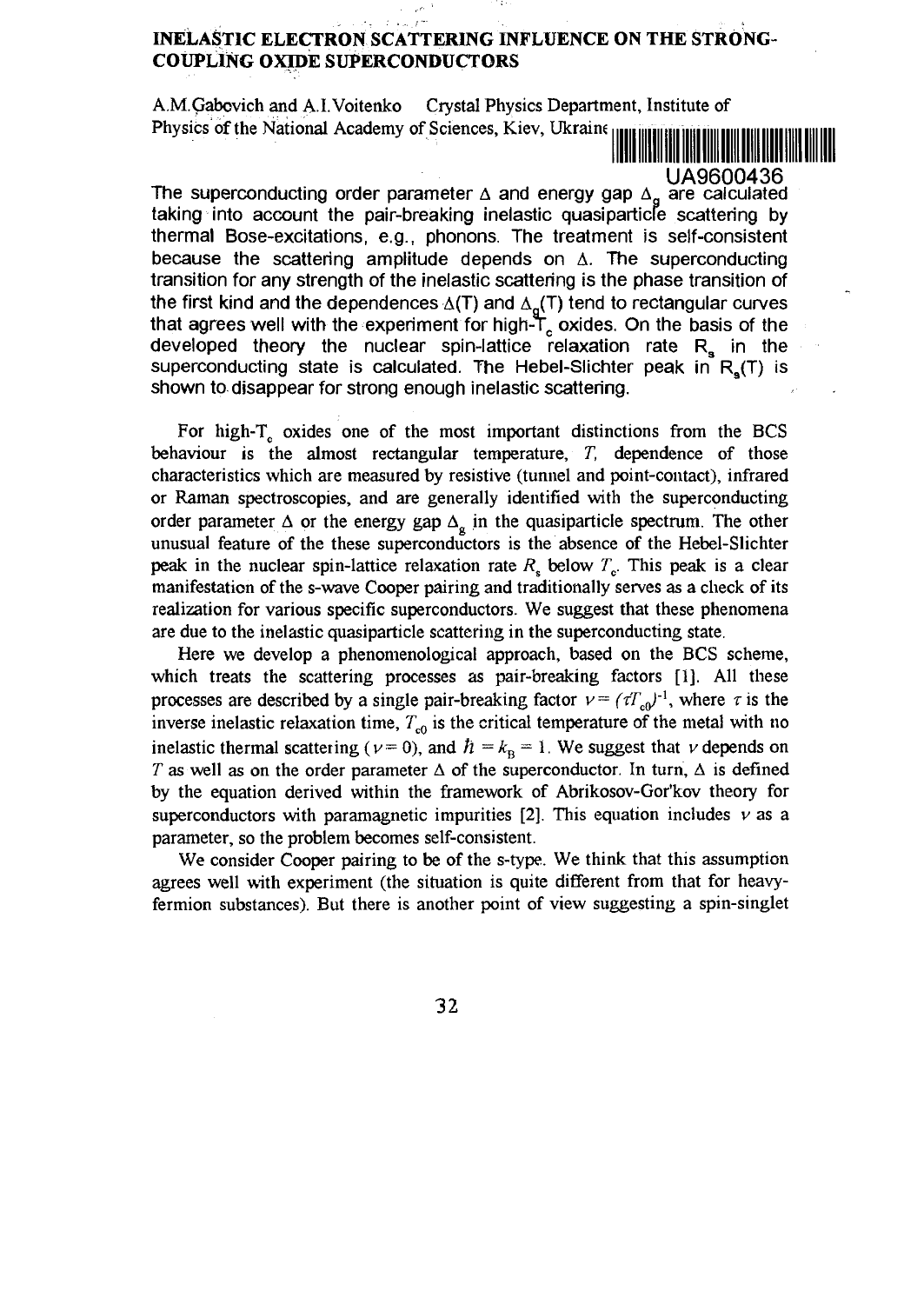## **INELASTIC ELECTRON SCATTERING INFLUENCE ON THE STRONG-COUPLlNG OXIDE SUPERCONDUCTORS**

A.M.Qabovich and A.I.Voitenko Crystal Physics Department, Institute of Physics of the National Academy of Sciences, Kiev, Ukraine

UA9600436

The superconducting order parameter  $\Delta$  and energy gap  $\Delta_{\alpha}$  are calculated taking into account the pair-breaking inelastic quasiparticle scattering by thermal Bose-excitations, e.g., phonons. The treatment is self-consistent because the scattering amplitude depends on  $\Delta$ . The superconducting transition for any strength of the inelastic scattering is the phase transition of the first kind and the dependences  $\Delta(T)$  and  $\Delta_q(T)$  tend to rectangular curves that agrees well with the experiment for high-Tc oxides. On the basis of the developed theory the nuclear spin-lattice relaxation rate  $R_{s}$  in the superconducting state is calculated. The Hebel-Slichter peak in  $R_s(T)$  is shown to disappear for strong enough inelastic scattering.

For high-T<sub>c</sub> oxides one of the most important distinctions from the BCS behaviour is the almost rectangular temperature, *T,* dependence of those characteristics which are measured by resistive (tunnel and point-contact), infrared or Raman spectroscopies, and are generally identified with the superconducting order parameter  $\Delta$  or the energy gap  $\Delta_{\alpha}$  in the quasiparticle spectrum. The other unusual feature of the these superconductors is the absence of the Hebel-Slichter peak in the nuclear spin-lattice relaxation rate *R<sup>s</sup>* below *Te.* This peak is a clear manifestation of the s-wave Cooper pairing and traditionally serves as a check of its realization for various specific superconductors. We suggest that these phenomena are due to the inelastic quasiparticle scattering in the superconducting state.

Here we develop a phenomenological approach, based on the BCS scheme, which treats the scattering processes as pair-breaking factors [1]. All these processes are described by a single pair-breaking factor  $v = (tT_{c0})^{-1}$ , where  $\tau$  is the inverse inelastic relaxation time,  $T_{c0}$  is the critical temperature of the metal with no inelastic thermal scattering ( $\nu$  = 0), and  $\hbar = k_B = 1$ . We suggest that  $\nu$  depends on *T* as well as on the order parameter  $\Delta$  of the superconductor. In turn,  $\Delta$  is defined by the equation derived within the framework of Abrikosov-Gor'kov theory for superconductors with paramagnetic impurities  $[2]$ . This equation includes  $\nu$  as a parameter, so the problem becomes self-consistent.

We consider Cooper pairing to be of the s-type. We think that this assumption agrees well with experiment (the situation is quite different from that for heavyfermion substances). But there is another point of view suggesting a spin-singlet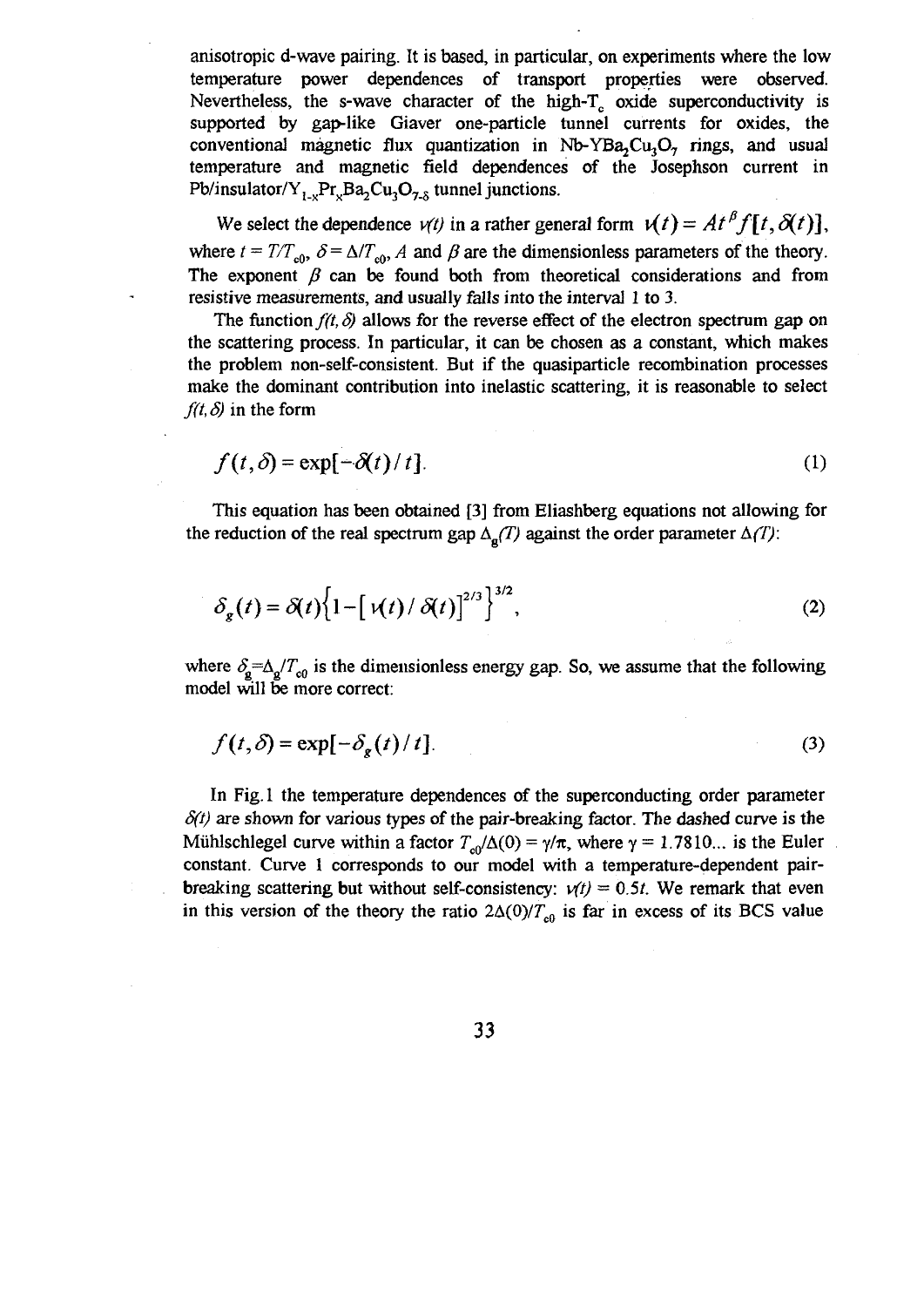anisotropic d-wave pairing. It is based, in particular, on experiments where the low temperature power dependences of transport properties were observed. Nevertheless, the s-wave character of the high-T<sub>c</sub> oxide superconductivity is supported by gap-like Giaver one-particle tunnel currents for oxides, the conventional magnetic flux quantization in  $Nb-YBa<sub>2</sub>C<sub>u</sub>O<sub>z</sub>$  rings, and usual temperature and magnetic field dependences of the Josephson current in Pb/insulator/Y<sub>1\_v</sub>Pr<sub>v</sub>Ba<sub>2</sub>Cu<sub>3</sub>O<sub>7\_8</sub> tunnel junctions.

We select the dependence  $v(t)$  in a rather general form  $v(t) = At^p f[t, \delta(t)]$ , where  $t = T/T<sub>of</sub>$ ,  $\delta = \Delta/T<sub>of</sub>$ , A and  $\beta$  are the dimensionless parameters of the theory. The exponent  $\beta$  can be found both from theoretical considerations and from resistive measurements, and usually falls into the interval 1 to 3.

The function  $f(t, \delta)$  allows for the reverse effect of the electron spectrum gap on the scattering process. In particular, it can be chosen as a constant, which makes the problem non-self-consistent. But if the quasiparticle recombination processes make the dominant contribution into inelastic scattering, it is reasonable to select  $f(t, \delta)$  in the form

$$
f(t,\delta) = \exp[-\delta(t)/t].
$$
 (1)

This equation has been obtained [3] from Eliashberg equations not allowing for the reduction of the real spectrum gap  $\Delta_{\alpha}(T)$  against the order parameter  $\Delta(T)$ :

$$
\delta_g(t) = \delta(t) \left\{ 1 - \left[ \varkappa(t) / \delta(t) \right]^{2/3} \right\}^{3/2},\tag{2}
$$

where  $\delta_{\rm g} = \Delta_{\rm g}/T_{\rm o0}$  is the dimensionless energy gap. So, we assume that the following model will be more correct:

$$
f(t,\delta) = \exp[-\delta_{\mathbf{g}}(t)/t].
$$
 (3)

In Fig. 1 the temperature dependences of the superconducting order parameter  $\delta(t)$  are shown for various types of the pair-breaking factor. The dashed curve is the Mühlschlegel curve within a factor  $T_{\text{eff}}/\Delta(0) = \gamma/\pi$ , where  $\gamma = 1.7810...$  is the Euler constant. Curve 1 corresponds to our model with a temperature-dependent pairbreaking scattering but without self-consistency:  $v(t) = 0.5t$ . We remark that even in this version of the theory the ratio  $2\Delta(0)/T_{c0}$  is far in excess of its BCS value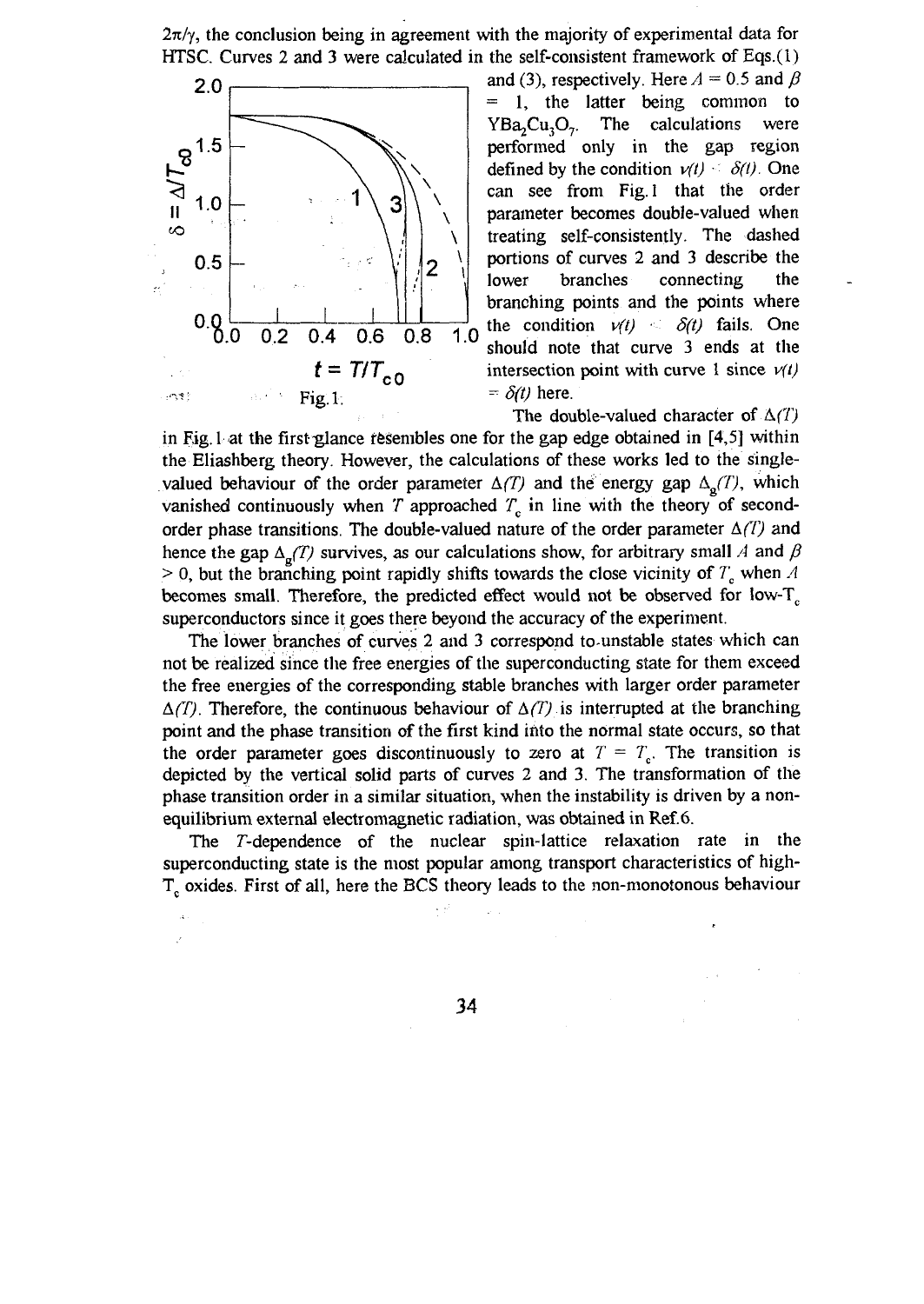$2\pi/\gamma$ , the conclusion being in agreement with the majority of experimental data for HTSC. Curves 2 and 3 were calculated in the self-consistent framework of Eqs.(l)



and (3), respectively. Here  $A = 0.5$  and  $\beta$ *=* 1, the latter being common to  $YBa<sub>o</sub>Cu<sub>o</sub>$ . The calculations were performed only in the gap region defined by the condition  $v(t) \le \delta(t)$ . One can see from Fig. 1 that the order parameter becomes double-valued when treating self-consistently. The dashed portions of curves 2 and 3 describe the lower branches connecting the branching points and the points where the condition  $v(t) \leq \delta(t)$  fails. One should note that curve 3 ends at the intersection point with curve 1 since  $v(t)$  $= \delta(t)$  here.

The double-valued character of *A(T)* in Fig. 1 at the first-glance resembles one for the gap edge obtained in [4,5] within the Eliashberg theory. However, the calculations of these works led to the singlevalued behaviour of the order parameter  $\Delta(T)$  and the energy gap  $\Delta_o(T)$ , which vanished continuously when  $T$  approached  $T<sub>e</sub>$  in line with the theory of secondorder phase transitions. The double-valued nature of the order parameter  $\Delta(T)$  and hence the gap  $\Delta_{\mathfrak{g}}(T)$  survives, as our calculations show, for arbitrary small A and  $\beta$  $> 0$ , but the branching point rapidly shifts towards the close vicinity of  $T_c$  when  $A$ becomes small. Therefore, the predicted effect would not be observed for low-T<sub>c</sub> superconductors since it goes there beyond the accuracy of the experiment.

The lower branches of curves 2 and 3 correspond to-unstable states which can not be realized since the free energies of the superconducting state for them exceed the free energies of the corresponding stable branches with larger order parameter  $\Delta(T)$ . Therefore, the continuous behaviour of  $\Delta(T)$  is interrupted at the branching point and the phase transition of the first kind into the normal state occurs, so that the order parameter goes discontinuously to zero at  $T = T_c$ . The transition is depicted by the vertical solid parts of curves 2 and 3. The transformation of the phase transition order in a similar situation, when the instability is driven by a nonequilibrium external electromagnetic radiation, was obtained in Ref.6.

The T-dependence of the nuclear spin-lattice relaxation rate in the superconducting state is the most popular among transport characteristics of high-T<sub>c</sub> oxides. First of all, here the BCS theory leads to the non-monotonous behaviour